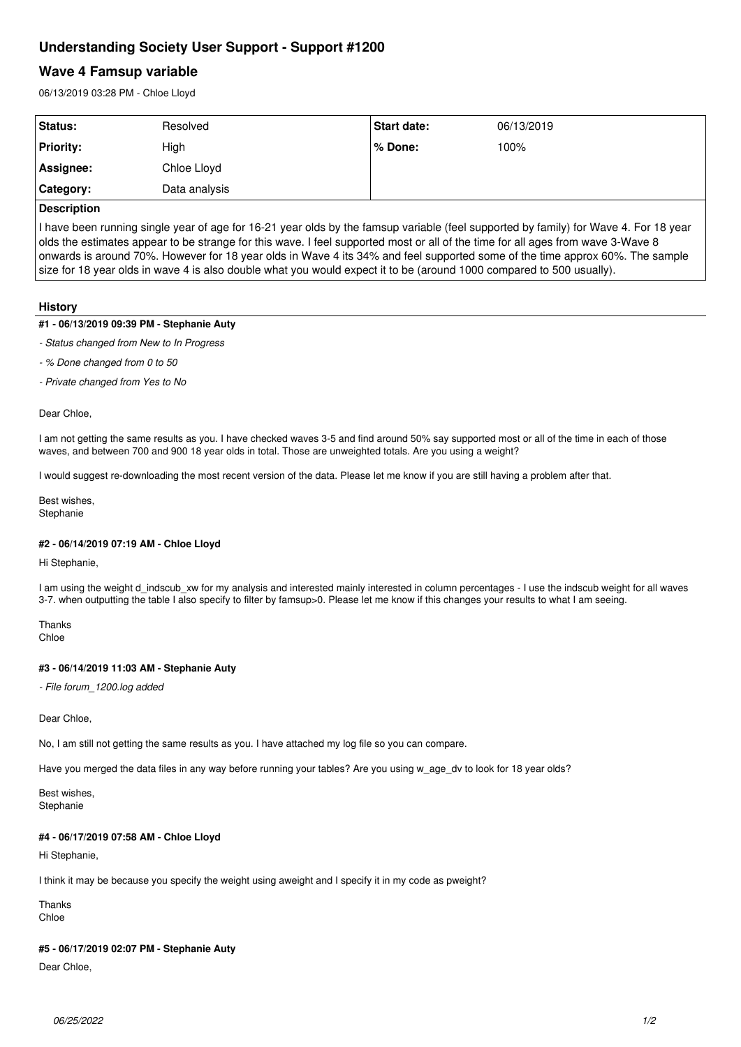# **Understanding Society User Support - Support #1200**

# **Wave 4 Famsup variable**

06/13/2019 03:28 PM - Chloe Lloyd

| Status:          | Resolved      | Start date: | 06/13/2019 |  |
|------------------|---------------|-------------|------------|--|
| <b>Priority:</b> | High          | l% Done:    | 100%       |  |
| Assignee:        | Chloe Lloyd   |             |            |  |
| Category:        | Data analysis |             |            |  |
| لممتلسا بمممرات  |               |             |            |  |

### **Description**

I have been running single year of age for 16-21 year olds by the famsup variable (feel supported by family) for Wave 4. For 18 year olds the estimates appear to be strange for this wave. I feel supported most or all of the time for all ages from wave 3-Wave 8 onwards is around 70%. However for 18 year olds in Wave 4 its 34% and feel supported some of the time approx 60%. The sample size for 18 year olds in wave 4 is also double what you would expect it to be (around 1000 compared to 500 usually).

#### **History**

#### **#1 - 06/13/2019 09:39 PM - Stephanie Auty**

*- Status changed from New to In Progress*

- *% Done changed from 0 to 50*
- *Private changed from Yes to No*

Dear Chloe,

I am not getting the same results as you. I have checked waves 3-5 and find around 50% say supported most or all of the time in each of those waves, and between 700 and 900 18 year olds in total. Those are unweighted totals. Are you using a weight?

I would suggest re-downloading the most recent version of the data. Please let me know if you are still having a problem after that.

Best wishes, Stephanie

#### **#2 - 06/14/2019 07:19 AM - Chloe Lloyd**

Hi Stephanie,

I am using the weight d\_indscub\_xw for my analysis and interested mainly interested in column percentages - I use the indscub weight for all waves 3-7. when outputting the table I also specify to filter by famsup>0. Please let me know if this changes your results to what I am seeing.

Thanks Chloe

#### **#3 - 06/14/2019 11:03 AM - Stephanie Auty**

*- File forum\_1200.log added*

Dear Chloe,

No, I am still not getting the same results as you. I have attached my log file so you can compare.

Have you merged the data files in any way before running your tables? Are you using w\_age\_dv to look for 18 year olds?

Best wishes, **Stephanie** 

#### **#4 - 06/17/2019 07:58 AM - Chloe Lloyd**

Hi Stephanie,

I think it may be because you specify the weight using aweight and I specify it in my code as pweight?

Thanks Chloe

#### **#5 - 06/17/2019 02:07 PM - Stephanie Auty**

Dear Chloe,